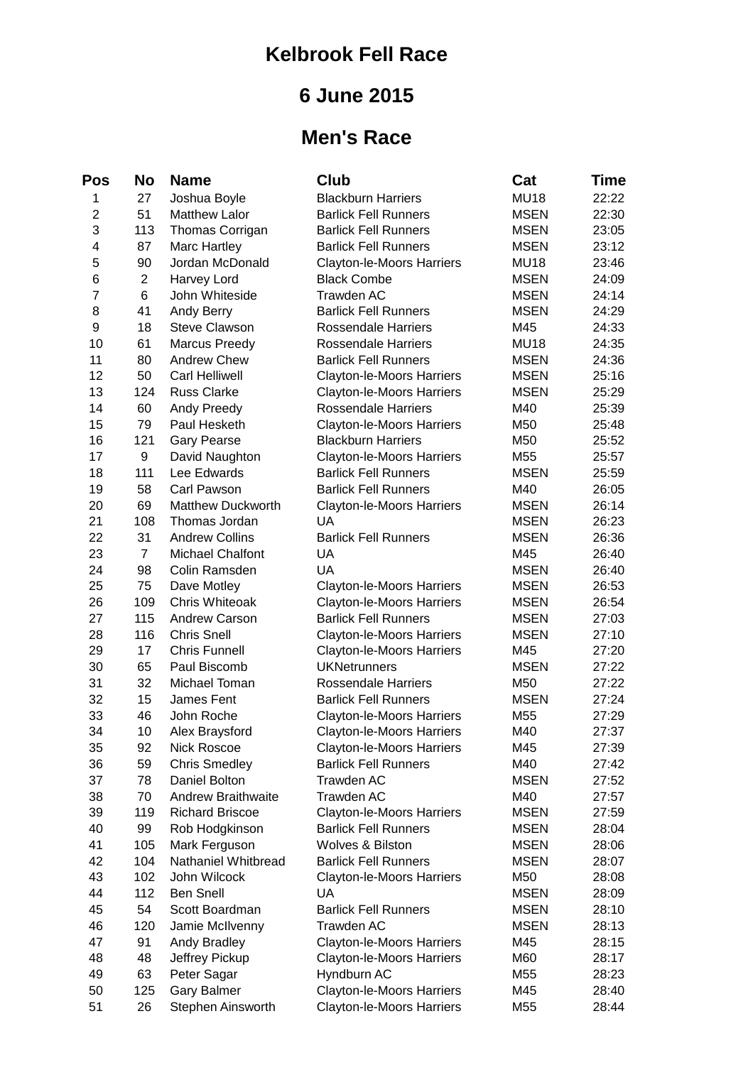## **Kelbrook Fell Race**

## **6 June 2015**

## **Men's Race**

| Pos            | No             | <b>Name</b>               | <b>Club</b>                 | Cat         | Time  |
|----------------|----------------|---------------------------|-----------------------------|-------------|-------|
| 1              | 27             | Joshua Boyle              | <b>Blackburn Harriers</b>   | <b>MU18</b> | 22:22 |
| $\overline{c}$ | 51             | <b>Matthew Lalor</b>      | <b>Barlick Fell Runners</b> | <b>MSEN</b> | 22:30 |
| 3              | 113            | <b>Thomas Corrigan</b>    | <b>Barlick Fell Runners</b> | <b>MSEN</b> | 23:05 |
| 4              | 87             | Marc Hartley              | <b>Barlick Fell Runners</b> | <b>MSEN</b> | 23:12 |
| 5              | 90             | Jordan McDonald           | Clayton-le-Moors Harriers   | <b>MU18</b> | 23:46 |
| 6              | $\overline{c}$ | Harvey Lord               | <b>Black Combe</b>          | <b>MSEN</b> | 24:09 |
| $\overline{7}$ | 6              | John Whiteside            | <b>Trawden AC</b>           | <b>MSEN</b> | 24:14 |
| 8              | 41             | Andy Berry                | <b>Barlick Fell Runners</b> | <b>MSEN</b> | 24:29 |
| 9              | 18             | <b>Steve Clawson</b>      | Rossendale Harriers         | M45         | 24:33 |
| 10             | 61             | <b>Marcus Preedy</b>      | Rossendale Harriers         | <b>MU18</b> | 24:35 |
| 11             | 80             | Andrew Chew               | <b>Barlick Fell Runners</b> | <b>MSEN</b> | 24:36 |
| 12             | 50             | <b>Carl Helliwell</b>     | Clayton-le-Moors Harriers   | <b>MSEN</b> | 25:16 |
| 13             | 124            | <b>Russ Clarke</b>        | Clayton-le-Moors Harriers   | <b>MSEN</b> | 25:29 |
| 14             | 60             | Andy Preedy               | <b>Rossendale Harriers</b>  | M40         | 25:39 |
| 15             | 79             | Paul Hesketh              | Clayton-le-Moors Harriers   | M50         | 25:48 |
| 16             | 121            | <b>Gary Pearse</b>        | <b>Blackburn Harriers</b>   | M50         | 25:52 |
| 17             | 9              | David Naughton            | Clayton-le-Moors Harriers   | M55         | 25:57 |
| 18             | 111            | Lee Edwards               | <b>Barlick Fell Runners</b> | <b>MSEN</b> | 25:59 |
| 19             | 58             | Carl Pawson               | <b>Barlick Fell Runners</b> | M40         | 26:05 |
| 20             | 69             | <b>Matthew Duckworth</b>  | Clayton-le-Moors Harriers   | <b>MSEN</b> | 26:14 |
| 21             | 108            | Thomas Jordan             | UA                          | <b>MSEN</b> | 26:23 |
| 22             | 31             | <b>Andrew Collins</b>     | <b>Barlick Fell Runners</b> | <b>MSEN</b> | 26:36 |
| 23             | 7              | Michael Chalfont          | UA                          | M45         | 26:40 |
| 24             | 98             | Colin Ramsden             | UA                          | <b>MSEN</b> | 26:40 |
| 25             | 75             | Dave Motley               | Clayton-le-Moors Harriers   | <b>MSEN</b> | 26:53 |
| 26             | 109            | Chris Whiteoak            | Clayton-le-Moors Harriers   | <b>MSEN</b> | 26:54 |
| 27             | 115            | Andrew Carson             | <b>Barlick Fell Runners</b> | <b>MSEN</b> | 27:03 |
| 28             | 116            | <b>Chris Snell</b>        | Clayton-le-Moors Harriers   | <b>MSEN</b> | 27:10 |
| 29             | 17             | <b>Chris Funnell</b>      | Clayton-le-Moors Harriers   | M45         | 27:20 |
| 30             | 65             | Paul Biscomb              | <b>UKNetrunners</b>         | <b>MSEN</b> | 27:22 |
| 31             | 32             | Michael Toman             | <b>Rossendale Harriers</b>  | M50         | 27:22 |
| 32             | 15             | James Fent                | <b>Barlick Fell Runners</b> | <b>MSEN</b> | 27:24 |
| 33             | 46             | John Roche                | Clayton-le-Moors Harriers   | M55         | 27:29 |
| 34             | 10             | Alex Braysford            | Clayton-le-Moors Harriers   | M40         | 27:37 |
| 35             | 92             | <b>Nick Roscoe</b>        | Clayton-le-Moors Harriers   | M45         | 27:39 |
| 36             | 59             | <b>Chris Smedley</b>      | <b>Barlick Fell Runners</b> | M40         | 27:42 |
| 37             | 78             | Daniel Bolton             | Trawden AC                  | <b>MSEN</b> | 27:52 |
| 38             | 70             | <b>Andrew Braithwaite</b> | <b>Trawden AC</b>           | M40         | 27:57 |
| 39             | 119            | <b>Richard Briscoe</b>    | Clayton-le-Moors Harriers   | <b>MSEN</b> | 27:59 |
| 40             | 99             | Rob Hodgkinson            | <b>Barlick Fell Runners</b> | <b>MSEN</b> | 28:04 |
| 41             | 105            | Mark Ferguson             | Wolves & Bilston            | <b>MSEN</b> | 28:06 |
| 42             | 104            | Nathaniel Whitbread       | <b>Barlick Fell Runners</b> | <b>MSEN</b> | 28:07 |
| 43             | 102            | John Wilcock              | Clayton-le-Moors Harriers   | M50         | 28:08 |
| 44             | 112            | <b>Ben Snell</b>          | <b>UA</b>                   | <b>MSEN</b> | 28:09 |
| 45             | 54             | Scott Boardman            | <b>Barlick Fell Runners</b> | <b>MSEN</b> | 28:10 |
| 46             | 120            | Jamie McIlvenny           | <b>Trawden AC</b>           | <b>MSEN</b> | 28:13 |
| 47             | 91             | Andy Bradley              | Clayton-le-Moors Harriers   | M45         | 28:15 |
| 48             | 48             | Jeffrey Pickup            | Clayton-le-Moors Harriers   | M60         | 28:17 |
| 49             | 63             | Peter Sagar               | Hyndburn AC                 | M55         | 28:23 |
| 50             | 125            | <b>Gary Balmer</b>        | Clayton-le-Moors Harriers   | M45         | 28:40 |
| 51             | 26             | Stephen Ainsworth         | Clayton-le-Moors Harriers   | M55         | 28:44 |